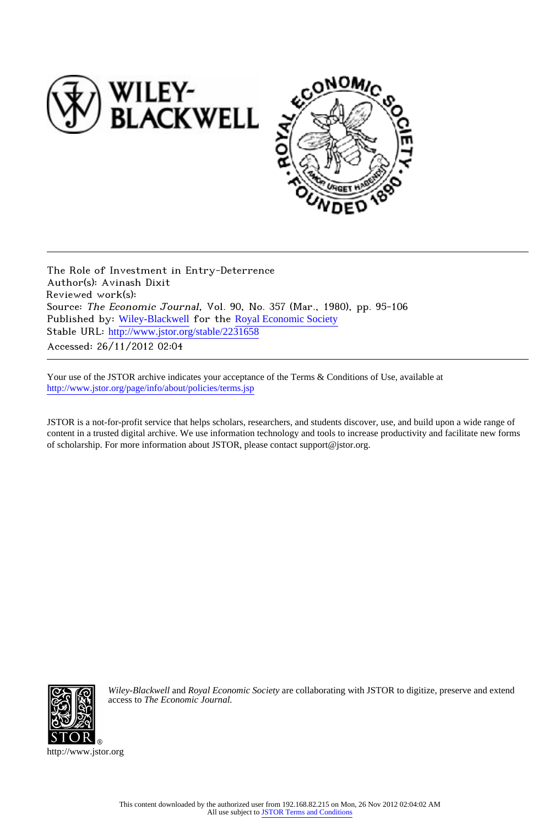



The Role of Investment in Entry-Deterrence Author(s): Avinash Dixit Reviewed work(s): Source: The Economic Journal, Vol. 90, No. 357 (Mar., 1980), pp. 95-106 Published by: [Wiley-Blackwell](http://www.jstor.org/action/showPublisher?publisherCode=black) for the [Royal Economic Society](http://www.jstor.org/action/showPublisher?publisherCode=res) Stable URL: [http://www.jstor.org/stable/2231658](http://www.jstor.org/stable/2231658?origin=JSTOR-pdf) Accessed: 26/11/2012 02:04

Your use of the JSTOR archive indicates your acceptance of the Terms & Conditions of Use, available at <http://www.jstor.org/page/info/about/policies/terms.jsp>

JSTOR is a not-for-profit service that helps scholars, researchers, and students discover, use, and build upon a wide range of content in a trusted digital archive. We use information technology and tools to increase productivity and facilitate new forms of scholarship. For more information about JSTOR, please contact support@jstor.org.



*Wiley-Blackwell* and *Royal Economic Society* are collaborating with JSTOR to digitize, preserve and extend access to *The Economic Journal.*

http://www.jstor.org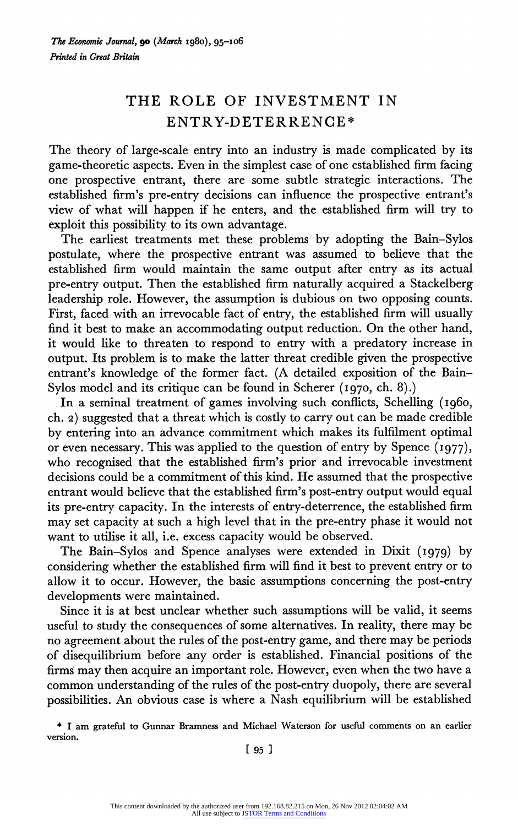# **THE ROLE OF INVESTMENT IN ENTRY-DETERRENCE\***

**The theory of large-scale entry into an industry is made complicated by its game-theoretic aspects. Even in the simplest case of one established firm facing one prospective entrant, there are some subtle strategic interactions. The established firm's pre-entry decisions can influence the prospective entrant's view of what will happen if he enters, and the established firm will try to exploit this possibility to its own advantage.** 

**The earliest treatments met these problems by adopting the Bain-Sylos postulate, where the prospective entrant was assumed to believe that the established firm would maintain the same output after entry as its actual pre-entry output. Then the established firm naturally acquired a Stackelberg leadership role. However, the assumption is dubious on two opposing counts. First, faced with an irrevocable fact of entry, the established firm will usually find it best to make an accommodating output reduction. On the other hand, it would like to threaten to respond to entry with a predatory increase in output. Its problem is to make the latter threat credible given the prospective entrant's knowledge of the former fact. (A detailed exposition of the Bain-Sylos model and its critique can be found in Scherer (I970, ch. 8).)** 

**In a seminal treatment of games involving such conflicts, Schelling (I960, ch. 2) suggested that a threat which is costly to carry out can be made credible by entering into an advance commitment which makes its fulfilment optimal or even necessary. This was applied to the question of entry by Spence (I977), who recognised that the established firm's prior and irrevocable investment decisions could be a commitment of this kind. He assumed that the prospective entrant would believe that the established firm's post-entry output would equal its pre-entry capacity. In the interests of entry-deterrence, the established firm may set capacity at such a high level that in the pre-entry phase it would not want to utilise it all, i.e. excess capacity would be observed.** 

**The Bain-Sylos and Spence analyses were extended in Dixit (I979) by considering whether the established firm will find it best to prevent entry or to allow it to occur. However, the basic assumptions concerning the post-entry developments were maintained.** 

**Since it is at best unclear whether such assumptions will be valid, it seems useful to study the consequences of some alternatives. In reality, there may be no agreement about the rules of the post-entry game, and there may be periods of disequilibrium before any order is established. Financial positions of the firms may then acquire an important role. However, even when the two have a common understanding of the rules of the post-entry duopoly, there are several possibilities. An obvious case is where a Nash equilibrium will be established** 

**[95 1** 

**<sup>\*</sup> I am grateful to Gunnar Bramness and Michael Waterson for useful comments on an earlier version.**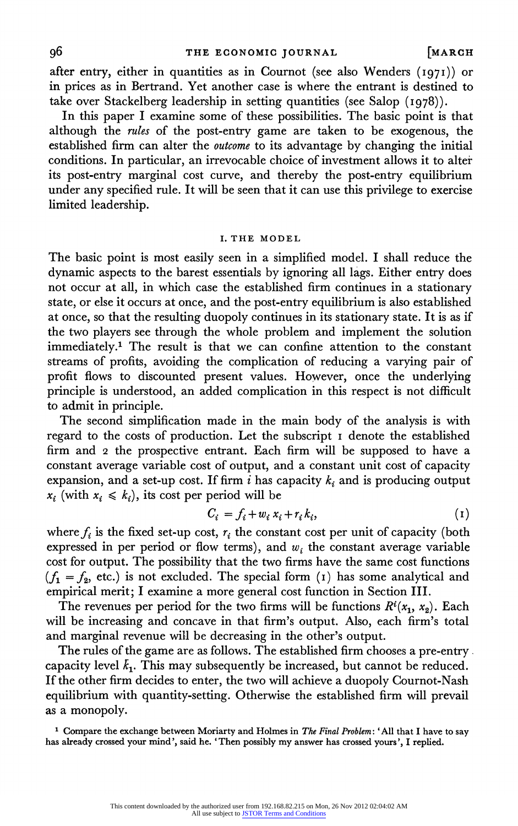**after entry, either in quantities as in Cournot (see also Wenders (I97I)) or in prices as in Bertrand. Yet another case is where the entrant is destined to take over Stackelberg leadership in setting quantities (see Salop (I978)).** 

In this paper I examine some of these possibilities. The basic point is that **although the rules of the post-entry game are taken to be exogenous, the established firm can alter the outcome to its advantage by changing the initial conditions. In particular, an irrevocable choice of investment allows it to alter its post-entry marginal cost curve, and thereby the post-entry equilibrium under any specified rule. It will be seen that it can use this privilege to exercise limited leadership.** 

#### **I. THE MODEL**

**The basic point is most easily seen in a simplified model. I shall reduce the dynamic aspects to the barest essentials by ignoring all lags. Either entry does not occur at all, in which case the established firm continues in a stationary state, or else it occurs at once, and the post-entry equilibrium is also established at once, so that the resulting duopoly continues in its stationary state. It is as if the two players see through the whole problem and implement the solution immediately.' The result is that we can confine attention to the constant streams of profits, avoiding the complication of reducing a varying pair of profit flows to discounted present values. However, once the underlying principle is understood, an added complication in this respect is not difficult to admit in principle.** 

**The second simplification made in the main body of the analysis is with regard to the costs of production. Let the subscript I denote the established firm and 2 the prospective entrant. Each firm will be supposed to have a constant average variable cost of output, and a constant unit cost of capacity**  expansion, and a set-up cost. If firm  $i$  has capacity  $k_i$  and is producing output  $x_i$  (with  $x_i \leq k_i$ ), its cost per period will be

$$
C_i = f_i + w_i x_i + r_i k_i, \tag{1}
$$

where  $f_i$  is the fixed set-up cost,  $r_i$  the constant cost per unit of capacity (both expressed in per period or flow terms), and  $w_i$  the constant average variable **cost for output. The possibility that the two firms have the same cost functions**   $(f_1 = f_2,$  etc.) is not excluded. The special form  $(1)$  has some analytical and **empirical merit; I examine a more general cost function in Section III.** 

The revenues per period for the two firms will be functions  $R^{i}(x_1, x_2)$ . Each **will be increasing and concave in that firm's output. Also, each firm's total and marginal revenue will be decreasing in the other's output.** 

**The rules of the game are as follows. The established firm chooses a pre-entry**  capacity level  $k_1$ . This may subsequently be increased, but cannot be reduced. **If the other firm decides to enter, the two will achieve a duopoly Cournot-Nash equilibrium with quantity-setting. Otherwise the established firm will prevail as a monopoly.** 

**1 Compare the exchange between Moriarty and Holmes in The Final Problem: 'All that I have to say has already crossed your mind', said he. 'Then possibly my answer has crossed yours', I replied.**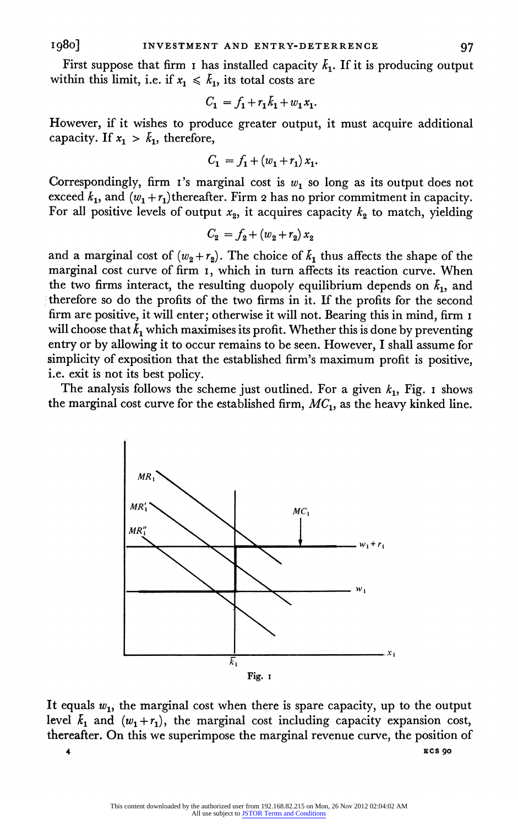First suppose that firm **i** has installed capacity  $k_1$ . If it is producing output within this limit, i.e. if  $x_1 \leq k_1$ , its total costs are

$$
C_1 = f_1 + r_1 k_1 + w_1 x_1.
$$

**However, if it wishes to produce greater output, it must acquire additional**  capacity. If  $x_1 > k_1$ , therefore,

$$
C_1 = f_1 + (w_1 + r_1) x_1.
$$

Correspondingly, firm  $i$ 's marginal cost is  $w_1$  so long as its output does not exceed  $k_1$ , and  $(w_1 + r_1)$  thereafter. Firm 2 has no prior commitment in capacity. For all positive levels of output  $x_2$ , it acquires capacity  $k_2$  to match, yielding

$$
C_2 = f_2 + (w_2 + r_2) x_2
$$

and a marginal cost of  $(w_2 + r_2)$ . The choice of  $k_1$  thus affects the shape of the **marginal cost curve of firm i, which in turn affects its reaction curve. When**  the two firms interact, the resulting duopoly equilibrium depends on  $k_1$ , and **therefore so do the profits of the two firms in it. If the profits for the second firm are positive, it will enter; otherwise it will not. Bearing this in mind, firm <sup>I</sup>** will choose that  $k_1$  which maximises its profit. Whether this is done by preventing **entry or by allowing it to occur remains to be seen. However, I shall assume for simplicity of exposition that the established firm's maximum profit is positive, i.e. exit is not its best policy.** 

The analysis follows the scheme just outlined. For a given  $k_1$ , Fig. **I** shows the marginal cost curve for the established firm,  $MC_1$ , as the heavy kinked line.



It equals  $w_1$ , the marginal cost when there is spare capacity, up to the output level  $k_1$  and  $(w_1+r_1)$ , the marginal cost including capacity expansion cost, **thereafter. On this we superimpose the marginal revenue curve, the position of 4 ECS 90**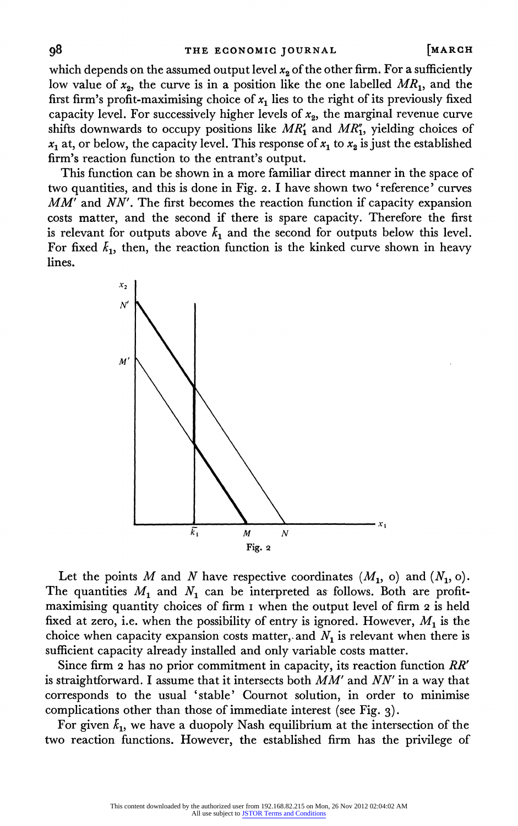which depends on the assumed output level  $x<sub>2</sub>$  of the other firm. For a sufficiently low value of  $x_2$ , the curve is in a position like the one labelled  $MR_1$ , and the first firm's profit-maximising choice of  $x_1$  lies to the right of its previously fixed capacity level. For successively higher levels of  $x<sub>2</sub>$ , the marginal revenue curve **shifts downwards to occupy positions like MR' and MR', yielding choices of**   $x_1$  at, or below, the capacity level. This response of  $x_1$  to  $x_2$  is just the established **firm's reaction function to the entrant's output.** 

**This function can be shown in a more familiar direct manner iti the space of two quantities, and this is done in Fig. 2. I have shown two 'reference' curves MM' and NN'. The first becomes the reaction function if capacity expansion costs matter, and the second if there is spare capacity. Therefore the first**  is relevant for outputs above  $k_1$  and the second for outputs below this level. For fixed  $k_1$ , then, the reaction function is the kinked curve shown in heavy **lines.** 



Let the points M and N have respective coordinates  $(M_1, 0)$  and  $(N_1, 0)$ . The quantities  $M_1$  and  $N_1$  can be interpreted as follows. Both are profit**maximising quantity choices of firm i when the output level of firm 2 is held**  fixed at zero, i.e. when the possibility of entry is ignored. However,  $M_1$  is the choice when capacity expansion costs matter, and  $N_1$  is relevant when there is **sufficient capacity already installed and only variable costs matter.** 

**Since firm 2 has no prior commitment in capacity, its reaction function RR' is straightforward. I assume that it intersects both MM' and NN' in a way that corresponds to the usual 'stable' Cournot solution, in order to minimise complications other than those of immediate interest (see Fig. 3).** 

For given  $k_1$ , we have a duopoly Nash equilibrium at the intersection of the **two reaction functions. However, the established firm has the privilege of**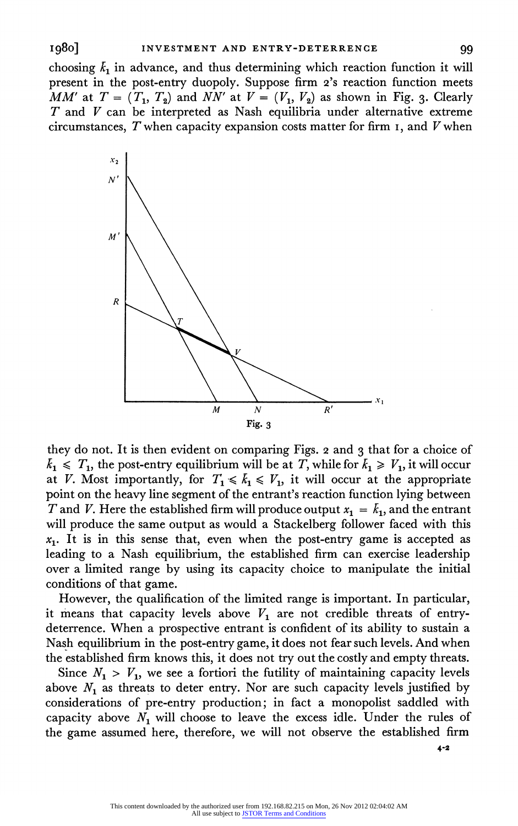choosing  $k_1$  in advance, and thus determining which reaction function it will **present in the post-entry duopoly. Suppose firm 2's reaction function meets**  MM' at  $T = (T_1, T_2)$  and NN' at  $V = (V_1, V_2)$  as shown in Fig. 3. Clearly **T and V can be interpreted as Nash equilibria under alternative extreme circumstances, T when capacity expansion costs matter for firm I, and V when** 



**they do not. It is then evident on comparing Figs. 2 and 3 that for a choice of**   $k_1 \leq T_1$ , the post-entry equilibrium will be at T, while for  $k_1 \geq V_1$ , it will occur at V. Most importantly, for  $T_1 \leq k_1 \leq V_1$ , it will occur at the appropriate **point on the heavy line segment of the entrant's reaction function lying between T** and V. Here the established firm will produce output  $x_1 = k_1$ , and the entrant **will produce the same output as would a Stackelberg follower faced with this**   $x_1$ . It is in this sense that, even when the post-entry game is accepted as **leading to a Nash equilibrium, the established firm can exercise leadership over a limited range by using its capacity choice to manipulate the initial conditions of that game.** 

**However, the qualification of the limited range is important. In particular,**  it means that capacity levels above  $V_1$  are not credible threats of entry**deterrence. When a prospective entrant is confident of its ability to sustain a Nash equilibrium in the post-entry game, it does not fear such levels. And when the established firm knows this, it does not try out the costly and empty threats.** 

Since  $N_1 > V_1$ , we see a fortiori the futility of maintaining capacity levels above  $N_1$  as threats to deter entry. Nor are such capacity levels justified by **considerations of pre-entry production; in fact a monopolist saddled with**  capacity above  $N_1$  will choose to leave the excess idle. Under the rules of **the game assumed here, therefore, we will not observe the established firm** 

**4-2**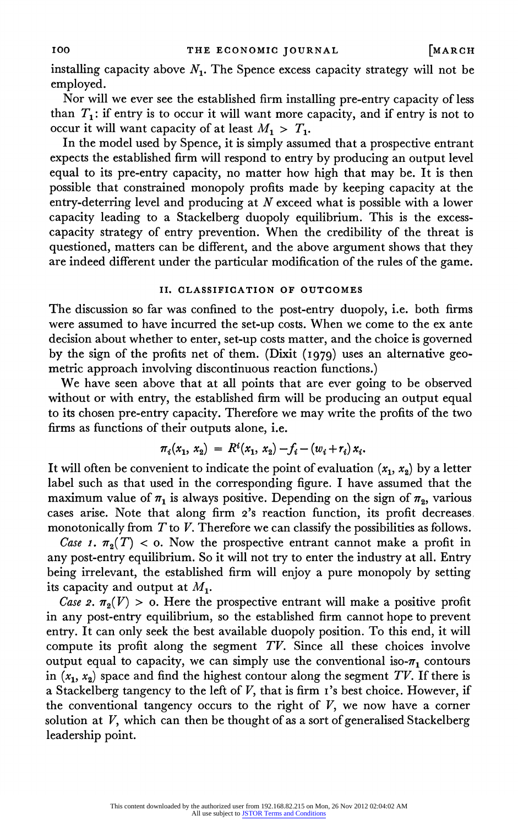installing capacity above  $N_1$ . The Spence excess capacity strategy will not be **employed.** 

**Nor will we ever see the established firm installing pre-entry capacity of less**  than  $T_1$ : if entry is to occur it will want more capacity, and if entry is not to occur it will want capacity of at least  $M_1 > T_1$ .

**In the model used by Spence, it is simply assumed that a prospective entrant expects the established firm will respond to entry by producing an output level equal to its pre-entry capacity, no matter how high that may be. It is then possible that constrained monopoly profits made by keeping capacity at the entry-deterring level and producing at N exceed what is possible with a lower capacity leading to a Stackelberg duopoly equilibrium. This is the excesscapacity strategy of entry prevention. When the credibility of the threat is questioned, matters can be different, and the above argument shows that they are indeed different under the particular modification of the rules of the game.** 

### **II. CLASSIFICATION OF OUTCOMES**

**The discussion so far was confined to the post-entry duopoly, i.e. both firms were assumed to have incurred the set-up costs. When we come to the ex ante decision about whether to enter, set-up costs matter, and the choice is governed by the sign of the profits net of them. (Dixit (I979) uses an alternative geometric approach involving discontinuous reaction functions.)** 

**We have seen above that at all points that are ever going to be observed without or with entry, the established firm will be producing an output equal to its chosen pre-entry capacity. Therefore we may write the profits of the two firms as functions of their outputs alone, i.e.** 

$$
\pi_i(x_1, x_2) = R^i(x_1, x_2) - f_i - (w_i + r_i)x_i.
$$

It will often be convenient to indicate the point of evaluation  $(x_1, x_2)$  by a letter label such as that used in the corresponding figure. I have assumed that the **maximum** value of  $\pi_1$  is always positive. Depending on the sign of  $\pi_2$ , various **cases arise. Note that along firm 2's reaction function, its profit decreases, monotonically from T to V. Therefore we can classify the possibilities as follows.** 

Case **1.**  $\pi_2(T)$  < **o.** Now the prospective entrant cannot make a profit in **any post-entry equilibrium. So it will not try to enter the industry at all. Entry being irrelevant, the established firm will enjoy a pure monopoly by setting**  its capacity and output at  $M_1$ .

Case 2.  $\pi_2(V) > 0$ . Here the prospective entrant will make a positive profit **in any post-entry equilibrium, so the established firm cannot hope to prevent entry. It can only seek the best available duopoly position. To this end, it will compute its profit along the segment TV. Since all these choices involve**  output equal to capacity, we can simply use the conventional iso- $\pi_1$  contours in  $(x_1, x_2)$  space and find the highest contour along the segment TV. If there is **a Stackelberg tangency to the left of V, that is firm i's best choice. However, if the conventional tangency occurs to the right of V, we now have a corner solution at V, which can then be thought of as a sort of generalised Stackelberg leadership point.**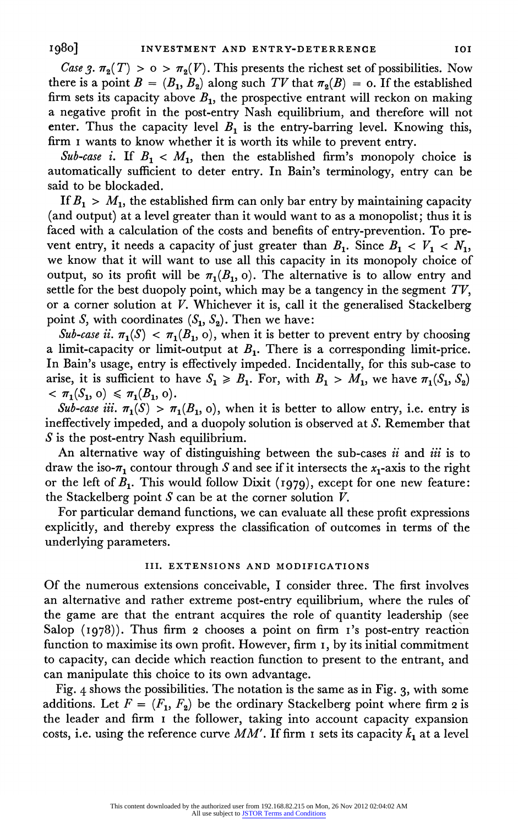Case **3.**  $\pi_2(T) > 0 > \pi_2(V)$ . This presents the richest set of possibilities. Now there is a point  $B = (B_1, B_2)$  along such TV that  $\pi_2(B) = 0$ . If the established firm sets its capacity above  $B_1$ , the prospective entrant will reckon on making **a negative profit in the post-entry Nash equilibrium, and therefore will not**  enter. Thus the capacity level  $B_1$  is the entry-barring level. Knowing this, **firm I wants to know whether it is worth its while to prevent entry.** 

Sub-case i. If  $B_1 < M_1$ , then the established firm's monopoly choice is **automatically sufficient to deter entry. In Bain's terminology, entry can be said to be blockaded.** 

If  $B_1 > M_1$ , the established firm can only bar entry by maintaining capacity **(and output) at a level greater than it would want to as a monopolist; thus it is faced with a calculation of the costs and benefits of entry-prevention. To pre**vent entry, it needs a capacity of just greater than  $B_1$ . Since  $B_1 < V_1 < N_1$ , **we know that it will want to use all this capacity in its monopoly choice of**  output, so its profit will be  $\pi_1(B_1, 0)$ . The alternative is to allow entry and **settle for the best duopoly point, which may be a tangency in the segment TV, or a corner solution at V. Whichever it is, call it the generalised Stackelberg**  point S, with coordinates  $(S_1, S_2)$ . Then we have:

Sub-case ii.  $\pi_1(S) < \pi_1(B_1, o)$ , when it is better to prevent entry by choosing a limit-capacity or limit-output at  $B_1$ . There is a corresponding limit-price. **In Bain's usage, entry is effectively impeded. Incidentally, for this sub-case to**  arise, it is sufficient to have  $S_1 \ge B_1$ . For, with  $B_1 > M_1$ , we have  $\pi_1(S_1, S_2)$  $\langle \pi_1(S_1, 0) \leq \pi_1(B_1, 0) \rangle$ .

Sub-case iii.  $\pi_1(S) > \pi_1(B_1, 0)$ , when it is better to allow entry, i.e. entry is **ineffectively impeded, and a duopoly solution is observed at S. Remember that S is the post-entry Nash equilibrium.** 

**An alternative way of distinguishing between the sub-cases ii and iii is to**  draw the iso- $\pi_1$  contour through S and see if it intersects the  $x_1$ -axis to the right or the left of  $B_1$ . This would follow Dixit  $(\text{rq}\gamma\text{q})$ , except for one new feature: **the Stackelberg point S can be at the corner solution V.** 

**For particular demand functions, we can evaluate all these profit expressions explicitly, and thereby express the classification of outcomes in terms of the underlying parameters.** 

## **III. EXTENSIONS AND MODIFICATIONS**

**Of the numerous extensions conceivable, I consider three. The first involves an alternative and rather extreme post-entry equilibrium, where the rules of the game are that the entrant acquires the role of quantity leadership (see Salop (I978)). Thus firm 2 chooses a point on firm i's post-entry reaction function to maximise its own profit. However, firm i, by its initial commitment to capacity, can decide which reaction function to present to the entrant, and can manipulate this choice to its own advantage.** 

**Fig. 4 shows the possibilities. The notation is the same as in Fig. 3, with some**  additions. Let  $F = (F_1, F_2)$  be the ordinary Stackelberg point where firm 2 is **the leader and firm I the follower, taking into account capacity expansion**  costs, i.e. using the reference curve  $MM'$ . If firm **I** sets its capacity  $k_1$  at a level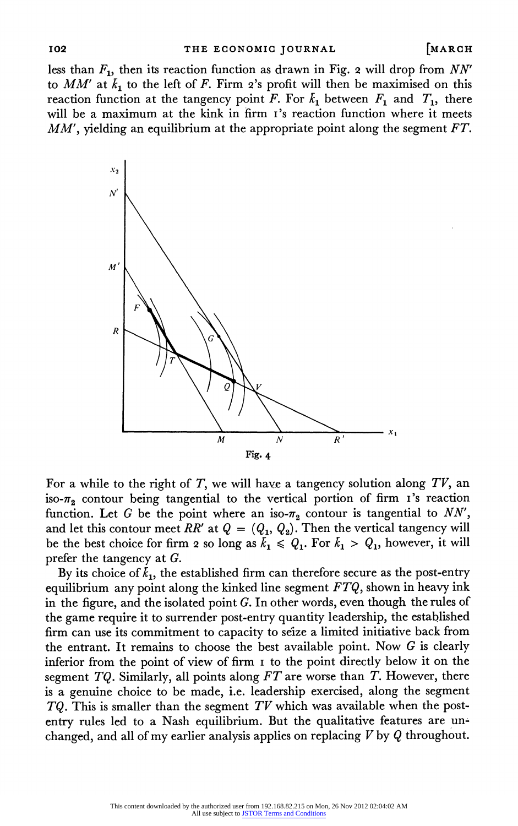less than  $F_1$ , then its reaction function as drawn in Fig. 2 will drop from  $NN'$ to  $MM'$  at  $k_1$  to the left of F. Firm 2's profit will then be maximised on this reaction function at the tangency point F. For  $k_1$  between  $F_1$  and  $T_1$ , there **will be a maximum at the kink in firm i's reaction function where it meets MM', yielding an equilibrium at the appropriate point along the segment FT.** 



For a while to the right of  $T$ , we will have a tangency solution along  $TV$ , an iso- $\pi_2$  contour being tangential to the vertical portion of firm **i**'s reaction function. Let G be the point where an iso- $\pi_2$  contour is tangential to NN', and let this contour meet RR' at  $Q = (Q_1, Q_2)$ . Then the vertical tangency will be the best choice for firm 2 so long as  $k_1 \leq Q_1$ . For  $k_1 > Q_1$ , however, it will **prefer the tangency at G.** 

By its choice of  $k_1$ , the established firm can therefore secure as the post-entry **equilibrium any point along the kinked line segment FTQ, shown in heavy ink in the figure, and the isolated point G. In other words, even though the rules of the game require it to surrender post-entry quantity leadership, the established**  firm can use its commitment to capacity to seize a limited initiative back from **the entrant. It remains to choose the best available point. Now G is clearly inferior from the point of view of firm I to the point directly below it on the segment TQ. Similarly, all points along FT are worse than T. However, there is a genuine choice to be made, i.e. leadership exercised, along the segment TQ. This is smaller than the segment TV which was available when the postentry rules led to a Nash equilibrium. But the qualitative features are unchanged, and all of my earlier analysis applies on replacing V by Q throughout.**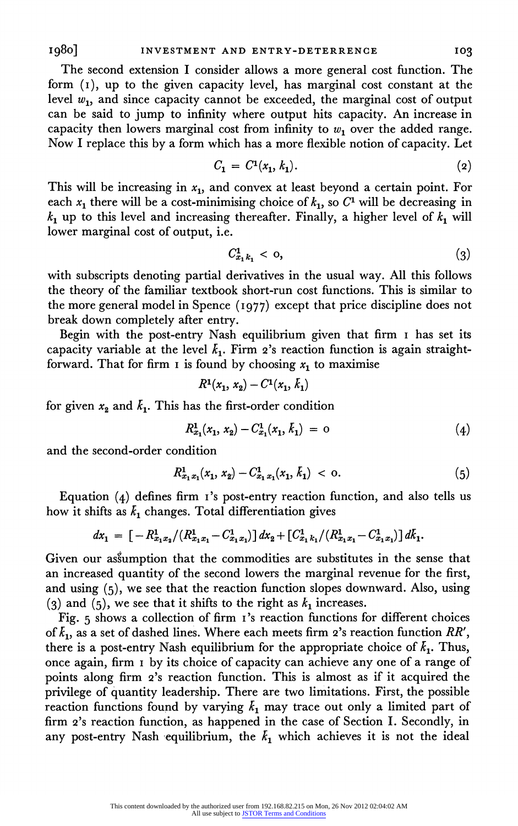### **I980] INVESTMENT AND ENTRY-DETERRENCE 103**

**The second extension I consider allows a more general cost function. The form (i), up to the given capacity level, has marginal cost constant at the**  level  $w_1$ , and since capacity cannot be exceeded, the marginal cost of output **can be said to jump to infinity where output hits capacity. An increase in**  capacity then lowers marginal cost from infinity to  $w_1$  over the added range. **Now I replace this by a form which has a more flexible notion of capacity. Let** 

$$
C_1 = C^1(x_1, k_1). \tag{2}
$$

This will be increasing in  $x_1$ , and convex at least beyond a certain point. For each  $x_1$  there will be a cost-minimising choice of  $k_1$ , so  $C<sup>1</sup>$  will be decreasing in  $k_1$  up to this level and increasing thereafter. Finally, a higher level of  $k_1$  will **lower marginal cost of output, i.e.** 

$$
C_{x_1k_1}^1 < 0,\tag{3}
$$

**with subscripts denoting partial derivatives in the usual way. All this follows the theory of the familiar textbook short-run cost functions. This is similar to the more general model in Spence (I977) except that price discipline does not break down completely after entry.** 

**Begin with the post-entry Nash equilibrium given that firm I has set its**  capacity variable at the level  $k_1$ . Firm 2's reaction function is again straightforward. That for firm **I** is found by choosing  $x_1$  to maximise

$$
R^1(x_1, x_2) - C^1(x_1, k_1)
$$

for given  $x_2$  and  $\bar{k}_1$ . This has the first-order condition

$$
R_{x_1}^1(x_1, x_2) - C_{x_1}^1(x_1, k_1) = 0 \tag{4}
$$

**and the second-order condition** 

$$
R_{x_1x_1}^1(x_1, x_2) - C_{x_1x_1}^1(x_1, k_1) < 0. \tag{5}
$$

**Equation (4) defines firm i's post-entry reaction function, and also tells us**  how it shifts as  $k_1$  changes. Total differentiation gives

$$
dx_1 = \left[ -R_{x_1x_2}^1/(R_{x_1x_1}^1 - C_{x_1x_1}^1) \right] dx_2 + \left[ C_{x_1x_1}^1/(R_{x_1x_1}^1 - C_{x_1x_1}^1) \right] d\bar{k}_1.
$$

**Given our assumption that the commodities are substitutes in the sense that an increased quantity of the second lowers the marginal revenue for the first, and using (5), we see that the reaction function slopes downward. Also, using**   $(3)$  and  $(5)$ , we see that it shifts to the right as  $k_1$  increases.

**Fig. 5 shows a collection of firm i's reaction functions for different choices of k1, as a set of dashed lines. Where each meets firm 2's reaction function RR',**  there is a post-entry Nash equilibrium for the appropriate choice of  $k_1$ . Thus, **once again, firm I by its choice of capacity can achieve any one of a range of points along firm 2's reaction function. This is almost as if it acquired the privilege of quantity leadership. There are two limitations. First, the possible**  reaction functions found by varying  $k_1$  may trace out only a limited part of **firm 2's reaction function, as happened in the case of Section I. Secondly, in**  any post-entry Nash equilibrium, the  $k_1$  which achieves it is not the ideal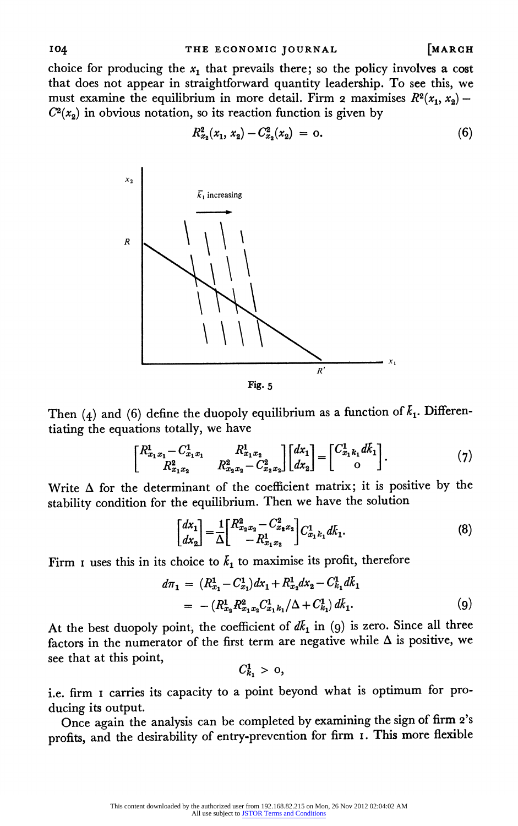choice for producing the  $x_1$  that prevails there; so the policy involves a cost **that does not appear in straightforward quantity leadership. To see this, we**  must examine the equilibrium in more detail. Firm 2 maximises  $R^2(x_1, x_2)$  –  $C^2(x_2)$  in obvious notation, so its reaction function is given by

$$
R_{x_2}^2(x_1, x_2) - C_{x_2}^2(x_2) = 0. \tag{6}
$$



Then (4) and (6) define the duopoly equilibrium as a function of  $k_1$ . Differen**tiating the equations totally, we have** 

$$
\begin{bmatrix} R_{x_1x_1}^1 - C_{x_1x_1}^1 & R_{x_1x_2}^1 \ R_{x_1x_2}^2 & R_{x_2x_2}^2 - C_{x_2x_2}^2 \end{bmatrix} \begin{bmatrix} dx_1 \ dx_2 \end{bmatrix} = \begin{bmatrix} C_{x_1k_1}^1 d k_1 \ 0 \end{bmatrix} . \tag{7}
$$

Write  $\Delta$  for the determinant of the coefficient matrix; it is positive by the **stability condition for the equilibrium. Then we have the solution** 

$$
\begin{bmatrix} dx_1 \ d x_2 \end{bmatrix} = \frac{1}{\Delta} \begin{bmatrix} R_{x_2 x_2}^2 - C_{x_1 x_2}^2 \ -R_{x_1 x_2}^1 \end{bmatrix} C_{x_1 k_1}^1 d k_1.
$$
 (8)

Firm **I** uses this in its choice to  $k_1$  to maximise its profit, therefore

$$
d\pi_1 = (R_{x_1}^1 - C_{x_1}^1)dx_1 + R_{x_2}^1 dx_2 - C_{k_1}^1 d_{k_1}
$$
  
= 
$$
-(R_{x_2}^1 R_{x_1 x_2}^2 C_{x_1 k_1}^1 / \Delta + C_{k_1}^1) d_{k_1}.
$$
 (9)

At the best duopoly point, the coefficient of  $d\vec{k}_1$  in (9) is zero. Since all three factors in the numerator of the first term are negative while  $\Delta$  is positive, we **see that at this point,** 

 $C_{k_1}^1 > 0$ ,

**i.e. firm i carries its capacity to a point beyond what is optimum for producing its output.** 

**Once again the analysis can be completed by examining the sign of firm 2'S profits, and the desirability of entry-prevention for firm I. This more flexible**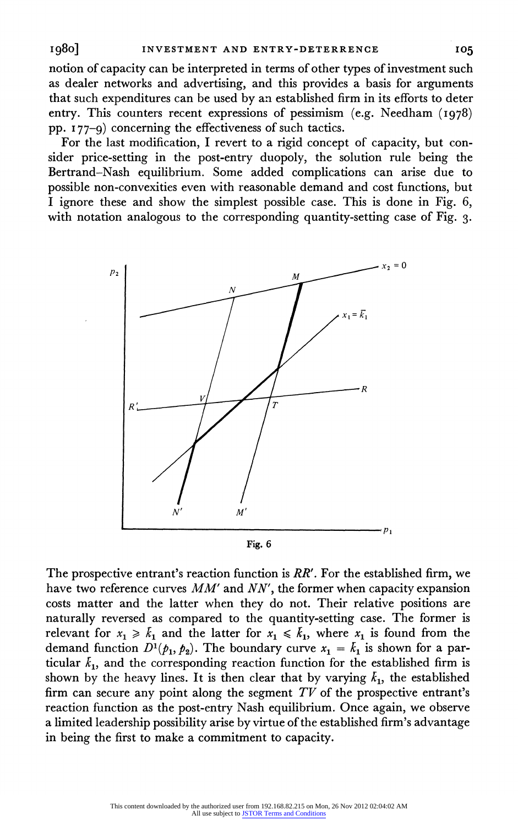**notion of capacity can be interpreted in terms of other types of investment such as dealer networks and advertising, and this provides a basis for arguments that such expenditures can be used by an established firm in its efforts to deter entry. This counters recent expressions of pessimism (e.g. Needham (1978) pp. 177-9) concerning the effectiveness of such tactics.** 

**For the last modification, I revert to a rigid concept of capacity, but consider price-setting in the post-entry duopoly, the solution rule being the Bertrand-Nash equilibrium. Some added complications can arise due to possible non-convexities even with reasonable demand and cost functions, but I ignore these and show the simplest possible case. This is done in Fig. 6, with notation analogous to the corresponding quantity-setting case of Fig. 3.** 



**Fig. 6** 

**The prospective entrant's reaction function is RR'. For the established firm, we have two reference curves MM' and NN', the former when capacity expansion costs matter and the latter when they do not. Their relative positions are naturally reversed as compared to the quantity-setting case. The former is**  relevant for  $x_1 \geq k_1$  and the latter for  $x_1 \leq k_1$ , where  $x_1$  is found from the demand function  $D^1(p_1, p_2)$ . The boundary curve  $x_1 = k_1$  is shown for a particular  $k_1$ , and the corresponding reaction function for the established firm is shown by the heavy lines. It is then clear that by varying  $k_1$ , the established **firm can secure any point along the segment TV of the prospective entrant's reaction function as the post-entry Nash equilibrium. Once again, we observe a limited leadership possibility arise by virtue of the established firm's advantage in being the first to make a commitment to capacity.**